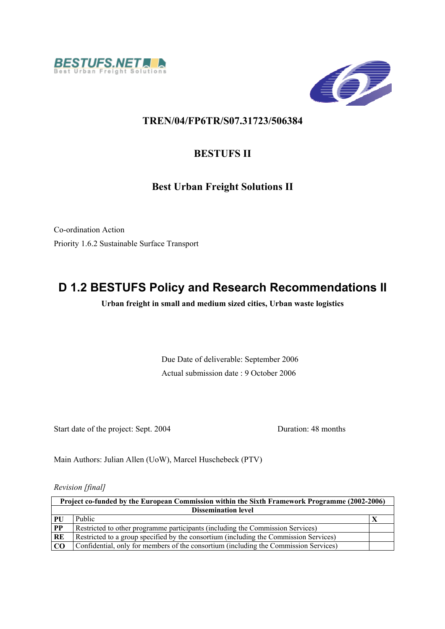



# **TREN/04/FP6TR/S07.31723/506384**

# **BESTUFS II**

# **Best Urban Freight Solutions II**

Co-ordination Action Priority 1.6.2 Sustainable Surface Transport

# **D 1.2 BESTUFS Policy and Research Recommendations II**

**Urban freight in small and medium sized cities, Urban waste logistics** 

Due Date of deliverable: September 2006 Actual submission date : 9 October 2006

Start date of the project: Sept. 2004 Duration: 48 months

Main Authors: Julian Allen (UoW), Marcel Huschebeck (PTV)

*Revision [final]* 

| Project co-funded by the European Commission within the Sixth Framework Programme (2002-2006) |                                                                                       |  |  |  |  |
|-----------------------------------------------------------------------------------------------|---------------------------------------------------------------------------------------|--|--|--|--|
| <b>Dissemination level</b>                                                                    |                                                                                       |  |  |  |  |
| PU                                                                                            | Public                                                                                |  |  |  |  |
| PP                                                                                            | Restricted to other programme participants (including the Commission Services)        |  |  |  |  |
| RE                                                                                            | Restricted to a group specified by the consortium (including the Commission Services) |  |  |  |  |
| <b>CO</b>                                                                                     | Confidential, only for members of the consortium (including the Commission Services)  |  |  |  |  |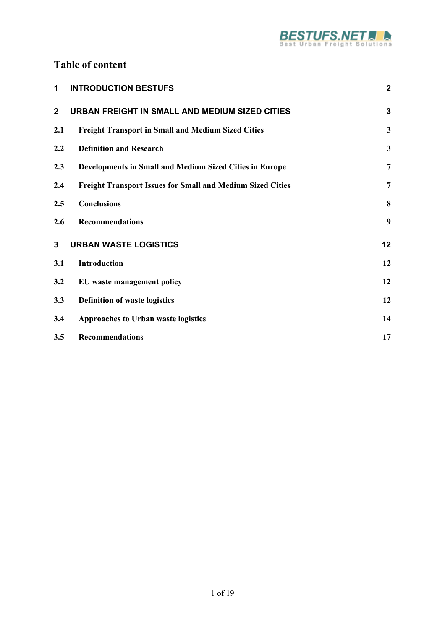

# **Table of content**

| 1            | <b>INTRODUCTION BESTUFS</b>                                       | $\mathbf{2}$            |
|--------------|-------------------------------------------------------------------|-------------------------|
| $\mathbf{2}$ | URBAN FREIGHT IN SMALL AND MEDIUM SIZED CITIES                    | $\mathbf{3}$            |
| 2.1          | <b>Freight Transport in Small and Medium Sized Cities</b>         | $\overline{\mathbf{3}}$ |
| 2.2          | <b>Definition and Research</b>                                    | $\mathbf{3}$            |
| 2.3          | Developments in Small and Medium Sized Cities in Europe           | $\overline{7}$          |
| 2.4          | <b>Freight Transport Issues for Small and Medium Sized Cities</b> | $\overline{7}$          |
| 2.5          | <b>Conclusions</b>                                                | 8                       |
| 2.6          | <b>Recommendations</b>                                            | 9                       |
| 3            | <b>URBAN WASTE LOGISTICS</b>                                      | 12                      |
| 3.1          | Introduction                                                      | 12                      |
| 3.2          | EU waste management policy                                        | 12                      |
| 3.3          | <b>Definition of waste logistics</b>                              | 12                      |
| 3.4          | Approaches to Urban waste logistics                               | 14                      |
| 3.5          | <b>Recommendations</b>                                            | 17                      |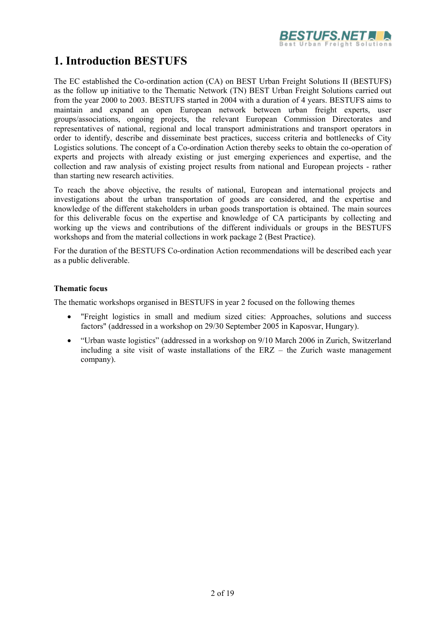

# **1. Introduction BESTUFS**

The EC established the Co-ordination action (CA) on BEST Urban Freight Solutions II (BESTUFS) as the follow up initiative to the Thematic Network (TN) BEST Urban Freight Solutions carried out from the year 2000 to 2003. BESTUFS started in 2004 with a duration of 4 years. BESTUFS aims to maintain and expand an open European network between urban freight experts, user groups/associations, ongoing projects, the relevant European Commission Directorates and representatives of national, regional and local transport administrations and transport operators in order to identify, describe and disseminate best practices, success criteria and bottlenecks of City Logistics solutions. The concept of a Co-ordination Action thereby seeks to obtain the co-operation of experts and projects with already existing or just emerging experiences and expertise, and the collection and raw analysis of existing project results from national and European projects - rather than starting new research activities.

To reach the above objective, the results of national, European and international projects and investigations about the urban transportation of goods are considered, and the expertise and knowledge of the different stakeholders in urban goods transportation is obtained. The main sources for this deliverable focus on the expertise and knowledge of CA participants by collecting and working up the views and contributions of the different individuals or groups in the BESTUFS workshops and from the material collections in work package 2 (Best Practice).

For the duration of the BESTUFS Co-ordination Action recommendations will be described each year as a public deliverable.

### **Thematic focus**

The thematic workshops organised in BESTUFS in year 2 focused on the following themes

- "Freight logistics in small and medium sized cities: Approaches, solutions and success factors" (addressed in a workshop on 29/30 September 2005 in Kaposvar, Hungary).
- "Urban waste logistics" (addressed in a workshop on 9/10 March 2006 in Zurich, Switzerland including a site visit of waste installations of the ERZ – the Zurich waste management company).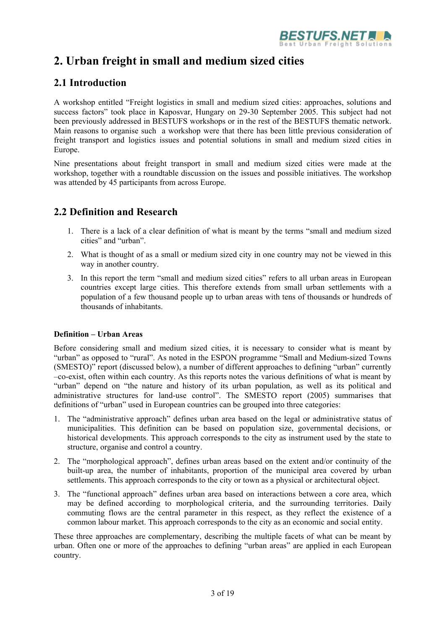

# **2. Urban freight in small and medium sized cities**

# **2.1 Introduction**

A workshop entitled "Freight logistics in small and medium sized cities: approaches, solutions and success factors" took place in Kaposvar, Hungary on 29-30 September 2005. This subject had not been previously addressed in BESTUFS workshops or in the rest of the BESTUFS thematic network. Main reasons to organise such a workshop were that there has been little previous consideration of freight transport and logistics issues and potential solutions in small and medium sized cities in Europe.

Nine presentations about freight transport in small and medium sized cities were made at the workshop, together with a roundtable discussion on the issues and possible initiatives. The workshop was attended by 45 participants from across Europe.

# **2.2 Definition and Research**

- 1. There is a lack of a clear definition of what is meant by the terms "small and medium sized cities" and "urban".
- 2. What is thought of as a small or medium sized city in one country may not be viewed in this way in another country.
- 3. In this report the term "small and medium sized cities" refers to all urban areas in European countries except large cities. This therefore extends from small urban settlements with a population of a few thousand people up to urban areas with tens of thousands or hundreds of thousands of inhabitants.

### **Definition – Urban Areas**

Before considering small and medium sized cities, it is necessary to consider what is meant by "urban" as opposed to "rural". As noted in the ESPON programme "Small and Medium-sized Towns (SMESTO)" report (discussed below), a number of different approaches to defining "urban" currently –co-exist, often within each country. As this reports notes the various definitions of what is meant by "urban" depend on "the nature and history of its urban population, as well as its political and administrative structures for land-use control". The SMESTO report (2005) summarises that definitions of "urban" used in European countries can be grouped into three categories:

- 1. The "administrative approach" defines urban area based on the legal or administrative status of municipalities. This definition can be based on population size, governmental decisions, or historical developments. This approach corresponds to the city as instrument used by the state to structure, organise and control a country.
- 2. The "morphological approach", defines urban areas based on the extent and/or continuity of the built-up area, the number of inhabitants, proportion of the municipal area covered by urban settlements. This approach corresponds to the city or town as a physical or architectural object.
- 3. The "functional approach" defines urban area based on interactions between a core area, which may be defined according to morphological criteria, and the surrounding territories. Daily commuting flows are the central parameter in this respect, as they reflect the existence of a common labour market. This approach corresponds to the city as an economic and social entity.

These three approaches are complementary, describing the multiple facets of what can be meant by urban. Often one or more of the approaches to defining "urban areas" are applied in each European country.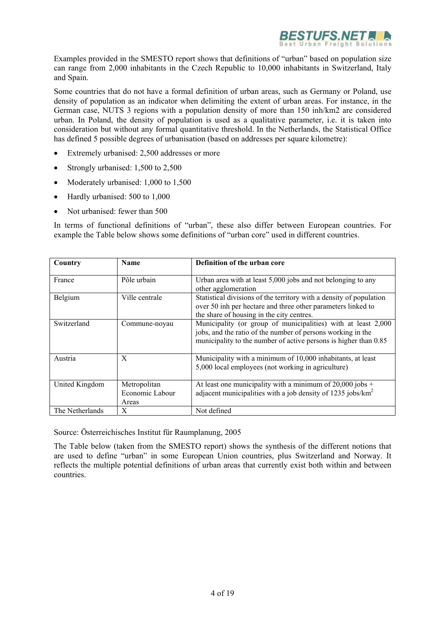

Examples provided in the SMESTO report shows that definitions of "urban" based on population size can range from 2,000 inhabitants in the Czech Republic to 10,000 inhabitants in Switzerland, Italy and Spain.

Some countries that do not have a formal definition of urban areas, such as Germany or Poland, use density of population as an indicator when delimiting the extent of urban areas. For instance, in the German case, NUTS 3 regions with a population density of more than 150 inh/km2 are considered urban. In Poland, the density of population is used as a qualitative parameter, i.e. it is taken into consideration but without any formal quantitative threshold. In the Netherlands, the Statistical Office has defined 5 possible degrees of urbanisation (based on addresses per square kilometre):

- Extremely urbanised: 2,500 addresses or more
- Strongly urbanised: 1,500 to 2,500
- Moderately urbanised: 1,000 to 1,500
- Hardly urbanised: 500 to 1,000
- Not urbanised: fewer than 500

In terms of functional definitions of "urban", these also differ between European countries. For example the Table below shows some definitions of "urban core" used in different countries.

| Country         | Name                                     | Definition of the urban core                                                                                                                                                                     |
|-----------------|------------------------------------------|--------------------------------------------------------------------------------------------------------------------------------------------------------------------------------------------------|
| France          | Pôle urbain                              | Urban area with at least 5,000 jobs and not belonging to any<br>other agglomeration                                                                                                              |
| Belgium         | Ville centrale                           | Statistical divisions of the territory with a density of population<br>over 50 inh per hectare and three other parameters linked to<br>the share of housing in the city centres.                 |
| Switzerland     | Commune-noyau                            | Municipality (or group of municipalities) with at least 2,000<br>jobs, and the ratio of the number of persons working in the<br>municipality to the number of active persons is higher than 0.85 |
| Austria         | X                                        | Municipality with a minimum of 10,000 inhabitants, at least<br>5,000 local employees (not working in agriculture)                                                                                |
| United Kingdom  | Metropolitan<br>Economic Labour<br>Areas | At least one municipality with a minimum of $20,000$ jobs +<br>adjacent municipalities with a job density of 1235 jobs/km <sup>2</sup>                                                           |
| The Netherlands | X                                        | Not defined                                                                                                                                                                                      |

Source: Österreichisches Institut für Raumplanung, 2005

The Table below (taken from the SMESTO report) shows the synthesis of the different notions that are used to define "urban" in some European Union countries, plus Switzerland and Norway. It reflects the multiple potential definitions of urban areas that currently exist both within and between countries.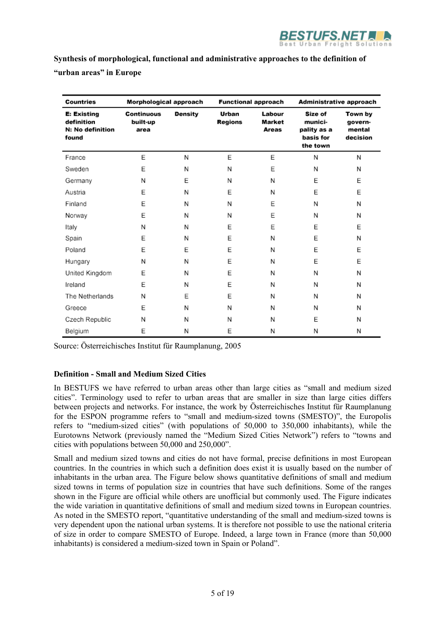

**Synthesis of morphological, functional and administrative approaches to the definition of "urban areas" in Europe**

| <b>Countries</b>                                              | Morphological approach         |         | <b>Functional approach</b> |                                  | Administrative approach                                    |                                          |
|---------------------------------------------------------------|--------------------------------|---------|----------------------------|----------------------------------|------------------------------------------------------------|------------------------------------------|
| <b>E: Existing</b><br>definition<br>N: No definition<br>found | Continuous<br>built-up<br>area | Density | Urban<br><b>Regions</b>    | Labour<br><b>Market</b><br>Areas | Size of<br>munici-<br>pality as a<br>basis for<br>the town | Town by<br>govern-<br>mental<br>decision |
| France                                                        | E                              | N       | E                          | E                                | N                                                          | N                                        |
| Sweden                                                        | E                              | N       | N                          | Ε                                | N                                                          | N                                        |
| Germany                                                       | Ν                              | Е       | N                          | N                                | E                                                          | E                                        |
| Austria                                                       | E                              | N       | E                          | N                                | E                                                          | Е                                        |
| Finland                                                       | E                              | N       | N                          | E                                | N                                                          | N                                        |
| Norway                                                        | E                              | N       | N                          | E                                | N                                                          | N                                        |
| Italy                                                         | N                              | N       | E                          | Ε                                | E                                                          | E                                        |
| Spain                                                         | E                              | N       | E                          | N                                | E                                                          | N                                        |
| Poland                                                        | E                              | Е       | E                          | N                                | E                                                          | E                                        |
| Hungary                                                       | N                              | N       | E                          | N                                | E                                                          | E                                        |
| United Kingdom                                                | E                              | N       | E                          | N                                | N                                                          | N                                        |
| Ireland                                                       | E                              | N       | E                          | N                                | N                                                          | N                                        |
| The Netherlands                                               | N                              | Ε       | E                          | N                                | N                                                          | N                                        |
| Greece                                                        | E                              | N       | N                          | N                                | N                                                          | N                                        |
| Czech Republic                                                | N                              | N       | Ν                          | N                                | E                                                          | N                                        |
| Belgium                                                       | E                              | N       | E                          | N                                | N                                                          | N                                        |

Source: Österreichisches Institut für Raumplanung, 2005

### **Definition - Small and Medium Sized Cities**

In BESTUFS we have referred to urban areas other than large cities as "small and medium sized cities". Terminology used to refer to urban areas that are smaller in size than large cities differs between projects and networks. For instance, the work by Österreichisches Institut für Raumplanung for the ESPON programme refers to "small and medium-sized towns (SMESTO)", the Europolis refers to "medium-sized cities" (with populations of 50,000 to 350,000 inhabitants), while the Eurotowns Network (previously named the "Medium Sized Cities Network") refers to "towns and cities with populations between 50,000 and 250,000".

Small and medium sized towns and cities do not have formal, precise definitions in most European countries. In the countries in which such a definition does exist it is usually based on the number of inhabitants in the urban area. The Figure below shows quantitative definitions of small and medium sized towns in terms of population size in countries that have such definitions. Some of the ranges shown in the Figure are official while others are unofficial but commonly used. The Figure indicates the wide variation in quantitative definitions of small and medium sized towns in European countries. As noted in the SMESTO report, "quantitative understanding of the small and medium-sized towns is very dependent upon the national urban systems. It is therefore not possible to use the national criteria of size in order to compare SMESTO of Europe. Indeed, a large town in France (more than 50,000 inhabitants) is considered a medium-sized town in Spain or Poland".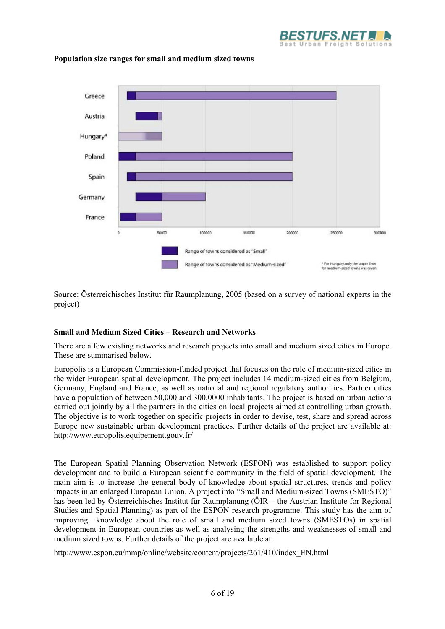



### **Population size ranges for small and medium sized towns**

Source: Österreichisches Institut für Raumplanung, 2005 (based on a survey of national experts in the project)

### **Small and Medium Sized Cities – Research and Networks**

There are a few existing networks and research projects into small and medium sized cities in Europe. These are summarised below.

Europolis is a European Commission-funded project that focuses on the role of medium-sized cities in the wider European spatial development. The project includes 14 medium-sized cities from Belgium, Germany, England and France, as well as national and regional regulatory authorities. Partner cities have a population of between 50,000 and 300,0000 inhabitants. The project is based on urban actions carried out jointly by all the partners in the cities on local projects aimed at controlling urban growth. The objective is to work together on specific projects in order to devise, test, share and spread across Europe new sustainable urban development practices. Further details of the project are available at: http://www.europolis.equipement.gouv.fr/

The European Spatial Planning Observation Network (ESPON) was established to support policy development and to build a European scientific community in the field of spatial development. The main aim is to increase the general body of knowledge about spatial structures, trends and policy impacts in an enlarged European Union. A project into "Small and Medium-sized Towns (SMESTO)" has been led by Österreichisches Institut für Raumplanung (ÖIR – the Austrian Institute for Regional Studies and Spatial Planning) as part of the ESPON research programme. This study has the aim of improving knowledge about the role of small and medium sized towns (SMESTOs) in spatial development in European countries as well as analysing the strengths and weaknesses of small and medium sized towns. Further details of the project are available at:

http://www.espon.eu/mmp/online/website/content/projects/261/410/index\_EN.html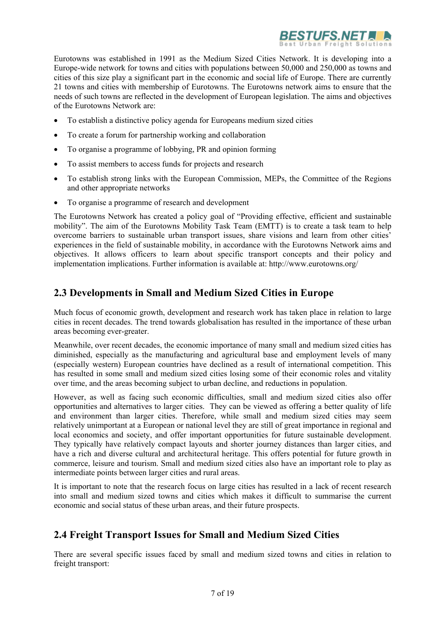

Eurotowns was established in 1991 as the Medium Sized Cities Network. It is developing into a Europe-wide network for towns and cities with populations between 50,000 and 250,000 as towns and cities of this size play a significant part in the economic and social life of Europe. There are currently 21 towns and cities with membership of Eurotowns. The Eurotowns network aims to ensure that the needs of such towns are reflected in the development of European legislation. The aims and objectives of the Eurotowns Network are:

- To establish a distinctive policy agenda for Europeans medium sized cities
- To create a forum for partnership working and collaboration
- To organise a programme of lobbying, PR and opinion forming
- To assist members to access funds for projects and research
- To establish strong links with the European Commission, MEPs, the Committee of the Regions and other appropriate networks
- To organise a programme of research and development

The Eurotowns Network has created a policy goal of "Providing effective, efficient and sustainable mobility". The aim of the Eurotowns Mobility Task Team (EMTT) is to create a task team to help overcome barriers to sustainable urban transport issues, share visions and learn from other cities' experiences in the field of sustainable mobility, in accordance with the Eurotowns Network aims and objectives. It allows officers to learn about specific transport concepts and their policy and implementation implications. Further information is available at: http://www.eurotowns.org/

# **2.3 Developments in Small and Medium Sized Cities in Europe**

Much focus of economic growth, development and research work has taken place in relation to large cities in recent decades. The trend towards globalisation has resulted in the importance of these urban areas becoming ever-greater.

Meanwhile, over recent decades, the economic importance of many small and medium sized cities has diminished, especially as the manufacturing and agricultural base and employment levels of many (especially western) European countries have declined as a result of international competition. This has resulted in some small and medium sized cities losing some of their economic roles and vitality over time, and the areas becoming subject to urban decline, and reductions in population.

However, as well as facing such economic difficulties, small and medium sized cities also offer opportunities and alternatives to larger cities. They can be viewed as offering a better quality of life and environment than larger cities. Therefore, while small and medium sized cities may seem relatively unimportant at a European or national level they are still of great importance in regional and local economics and society, and offer important opportunities for future sustainable development. They typically have relatively compact layouts and shorter journey distances than larger cities, and have a rich and diverse cultural and architectural heritage. This offers potential for future growth in commerce, leisure and tourism. Small and medium sized cities also have an important role to play as intermediate points between larger cities and rural areas.

It is important to note that the research focus on large cities has resulted in a lack of recent research into small and medium sized towns and cities which makes it difficult to summarise the current economic and social status of these urban areas, and their future prospects.

## **2.4 Freight Transport Issues for Small and Medium Sized Cities**

There are several specific issues faced by small and medium sized towns and cities in relation to freight transport: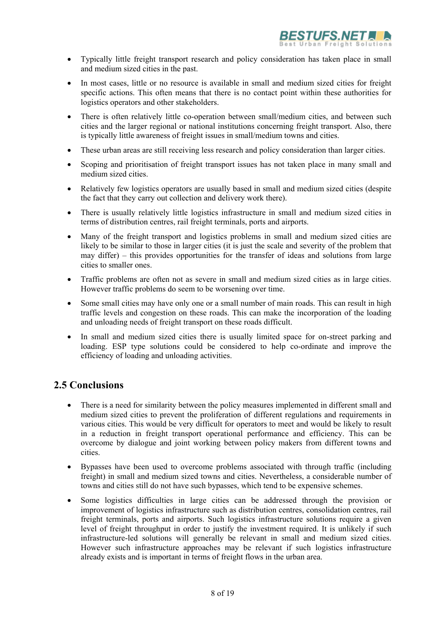

- Typically little freight transport research and policy consideration has taken place in small and medium sized cities in the past.
- In most cases, little or no resource is available in small and medium sized cities for freight specific actions. This often means that there is no contact point within these authorities for logistics operators and other stakeholders.
- There is often relatively little co-operation between small/medium cities, and between such cities and the larger regional or national institutions concerning freight transport. Also, there is typically little awareness of freight issues in small/medium towns and cities.
- These urban areas are still receiving less research and policy consideration than larger cities.
- Scoping and prioritisation of freight transport issues has not taken place in many small and medium sized cities.
- Relatively few logistics operators are usually based in small and medium sized cities (despite the fact that they carry out collection and delivery work there).
- There is usually relatively little logistics infrastructure in small and medium sized cities in terms of distribution centres, rail freight terminals, ports and airports.
- Many of the freight transport and logistics problems in small and medium sized cities are likely to be similar to those in larger cities (it is just the scale and severity of the problem that may differ) – this provides opportunities for the transfer of ideas and solutions from large cities to smaller ones.
- Traffic problems are often not as severe in small and medium sized cities as in large cities. However traffic problems do seem to be worsening over time.
- Some small cities may have only one or a small number of main roads. This can result in high traffic levels and congestion on these roads. This can make the incorporation of the loading and unloading needs of freight transport on these roads difficult.
- In small and medium sized cities there is usually limited space for on-street parking and loading. ESP type solutions could be considered to help co-ordinate and improve the efficiency of loading and unloading activities.

# **2.5 Conclusions**

- There is a need for similarity between the policy measures implemented in different small and medium sized cities to prevent the proliferation of different regulations and requirements in various cities. This would be very difficult for operators to meet and would be likely to result in a reduction in freight transport operational performance and efficiency. This can be overcome by dialogue and joint working between policy makers from different towns and cities.
- Bypasses have been used to overcome problems associated with through traffic (including freight) in small and medium sized towns and cities. Nevertheless, a considerable number of towns and cities still do not have such bypasses, which tend to be expensive schemes.
- Some logistics difficulties in large cities can be addressed through the provision or improvement of logistics infrastructure such as distribution centres, consolidation centres, rail freight terminals, ports and airports. Such logistics infrastructure solutions require a given level of freight throughput in order to justify the investment required. It is unlikely if such infrastructure-led solutions will generally be relevant in small and medium sized cities. However such infrastructure approaches may be relevant if such logistics infrastructure already exists and is important in terms of freight flows in the urban area.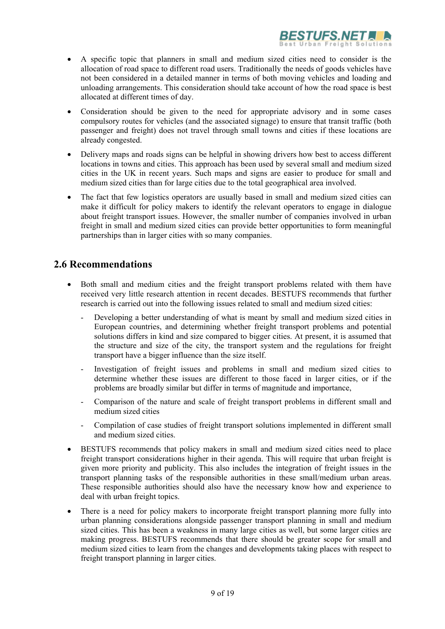

- A specific topic that planners in small and medium sized cities need to consider is the allocation of road space to different road users. Traditionally the needs of goods vehicles have not been considered in a detailed manner in terms of both moving vehicles and loading and unloading arrangements. This consideration should take account of how the road space is best allocated at different times of day.
- Consideration should be given to the need for appropriate advisory and in some cases compulsory routes for vehicles (and the associated signage) to ensure that transit traffic (both passenger and freight) does not travel through small towns and cities if these locations are already congested.
- Delivery maps and roads signs can be helpful in showing drivers how best to access different locations in towns and cities. This approach has been used by several small and medium sized cities in the UK in recent years. Such maps and signs are easier to produce for small and medium sized cities than for large cities due to the total geographical area involved.
- The fact that few logistics operators are usually based in small and medium sized cities can make it difficult for policy makers to identify the relevant operators to engage in dialogue about freight transport issues. However, the smaller number of companies involved in urban freight in small and medium sized cities can provide better opportunities to form meaningful partnerships than in larger cities with so many companies.

## **2.6 Recommendations**

- Both small and medium cities and the freight transport problems related with them have received very little research attention in recent decades. BESTUFS recommends that further research is carried out into the following issues related to small and medium sized cities:
	- Developing a better understanding of what is meant by small and medium sized cities in European countries, and determining whether freight transport problems and potential solutions differs in kind and size compared to bigger cities. At present, it is assumed that the structure and size of the city, the transport system and the regulations for freight transport have a bigger influence than the size itself.
	- Investigation of freight issues and problems in small and medium sized cities to determine whether these issues are different to those faced in larger cities, or if the problems are broadly similar but differ in terms of magnitude and importance,
	- Comparison of the nature and scale of freight transport problems in different small and medium sized cities
	- Compilation of case studies of freight transport solutions implemented in different small and medium sized cities.
- BESTUFS recommends that policy makers in small and medium sized cities need to place freight transport considerations higher in their agenda. This will require that urban freight is given more priority and publicity. This also includes the integration of freight issues in the transport planning tasks of the responsible authorities in these small/medium urban areas. These responsible authorities should also have the necessary know how and experience to deal with urban freight topics.
- There is a need for policy makers to incorporate freight transport planning more fully into urban planning considerations alongside passenger transport planning in small and medium sized cities. This has been a weakness in many large cities as well, but some larger cities are making progress. BESTUFS recommends that there should be greater scope for small and medium sized cities to learn from the changes and developments taking places with respect to freight transport planning in larger cities.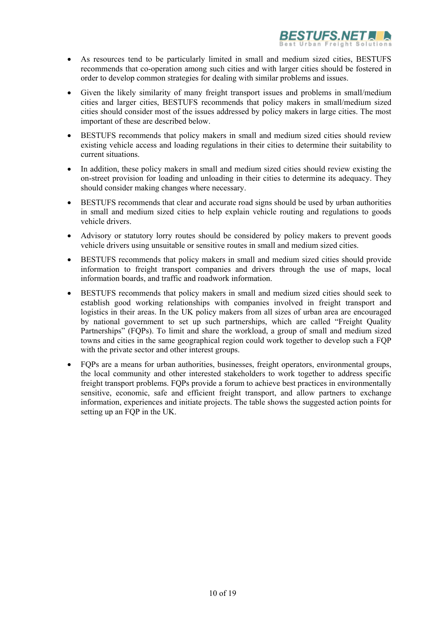

- As resources tend to be particularly limited in small and medium sized cities, BESTUFS recommends that co-operation among such cities and with larger cities should be fostered in order to develop common strategies for dealing with similar problems and issues.
- Given the likely similarity of many freight transport issues and problems in small/medium cities and larger cities, BESTUFS recommends that policy makers in small/medium sized cities should consider most of the issues addressed by policy makers in large cities. The most important of these are described below.
- BESTUFS recommends that policy makers in small and medium sized cities should review existing vehicle access and loading regulations in their cities to determine their suitability to current situations.
- In addition, these policy makers in small and medium sized cities should review existing the on-street provision for loading and unloading in their cities to determine its adequacy. They should consider making changes where necessary.
- BESTUFS recommends that clear and accurate road signs should be used by urban authorities in small and medium sized cities to help explain vehicle routing and regulations to goods vehicle drivers.
- Advisory or statutory lorry routes should be considered by policy makers to prevent goods vehicle drivers using unsuitable or sensitive routes in small and medium sized cities.
- BESTUFS recommends that policy makers in small and medium sized cities should provide information to freight transport companies and drivers through the use of maps, local information boards, and traffic and roadwork information.
- BESTUFS recommends that policy makers in small and medium sized cities should seek to establish good working relationships with companies involved in freight transport and logistics in their areas. In the UK policy makers from all sizes of urban area are encouraged by national government to set up such partnerships, which are called "Freight Quality Partnerships" (FQPs). To limit and share the workload, a group of small and medium sized towns and cities in the same geographical region could work together to develop such a FQP with the private sector and other interest groups.
- FOPs are a means for urban authorities, businesses, freight operators, environmental groups, the local community and other interested stakeholders to work together to address specific freight transport problems. FQPs provide a forum to achieve best practices in environmentally sensitive, economic, safe and efficient freight transport, and allow partners to exchange information, experiences and initiate projects. The table shows the suggested action points for setting up an FQP in the UK.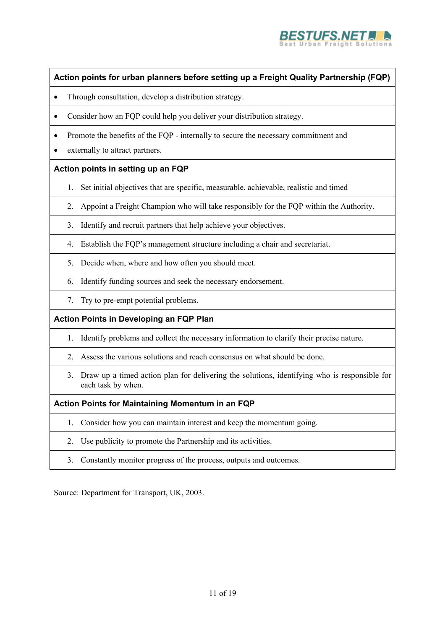

### **Action points for urban planners before setting up a Freight Quality Partnership (FQP)**

- Through consultation, develop a distribution strategy.
- Consider how an FQP could help you deliver your distribution strategy.
- Promote the benefits of the FOP internally to secure the necessary commitment and
- externally to attract partners.

### **Action points in setting up an FQP**

- 1. Set initial objectives that are specific, measurable, achievable, realistic and timed
- 2. Appoint a Freight Champion who will take responsibly for the FQP within the Authority.
- 3. Identify and recruit partners that help achieve your objectives.
- 4. Establish the FQP's management structure including a chair and secretariat.
- 5. Decide when, where and how often you should meet.
- 6. Identify funding sources and seek the necessary endorsement.
- 7. Try to pre-empt potential problems.

### **Action Points in Developing an FQP Plan**

- 1. Identify problems and collect the necessary information to clarify their precise nature.
- 2. Assess the various solutions and reach consensus on what should be done.
- 3. Draw up a timed action plan for delivering the solutions, identifying who is responsible for each task by when.

### **Action Points for Maintaining Momentum in an FQP**

- 1. Consider how you can maintain interest and keep the momentum going.
- 2. Use publicity to promote the Partnership and its activities.
- 3. Constantly monitor progress of the process, outputs and outcomes.

Source: Department for Transport, UK, 2003.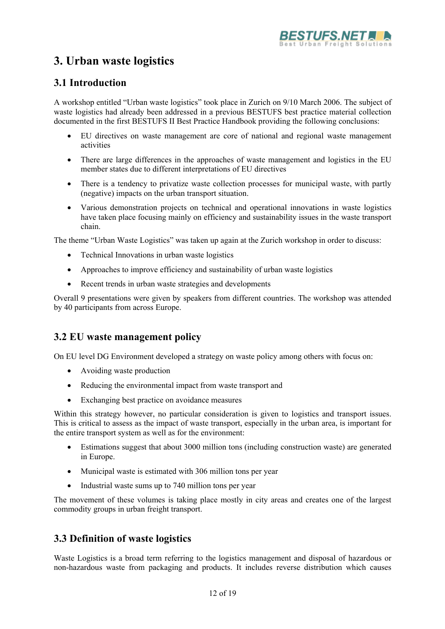

# **3. Urban waste logistics**

# **3.1 Introduction**

A workshop entitled "Urban waste logistics" took place in Zurich on 9/10 March 2006. The subject of waste logistics had already been addressed in a previous BESTUFS best practice material collection documented in the first BESTUFS II Best Practice Handbook providing the following conclusions:

- EU directives on waste management are core of national and regional waste management activities
- There are large differences in the approaches of waste management and logistics in the EU member states due to different interpretations of EU directives
- There is a tendency to privatize waste collection processes for municipal waste, with partly (negative) impacts on the urban transport situation.
- Various demonstration projects on technical and operational innovations in waste logistics have taken place focusing mainly on efficiency and sustainability issues in the waste transport chain.

The theme "Urban Waste Logistics" was taken up again at the Zurich workshop in order to discuss:

- Technical Innovations in urban waste logistics
- Approaches to improve efficiency and sustainability of urban waste logistics
- Recent trends in urban waste strategies and developments

Overall 9 presentations were given by speakers from different countries. The workshop was attended by 40 participants from across Europe.

## **3.2 EU waste management policy**

On EU level DG Environment developed a strategy on waste policy among others with focus on:

- Avoiding waste production
- Reducing the environmental impact from waste transport and
- Exchanging best practice on avoidance measures

Within this strategy however, no particular consideration is given to logistics and transport issues. This is critical to assess as the impact of waste transport, especially in the urban area, is important for the entire transport system as well as for the environment:

- Estimations suggest that about 3000 million tons (including construction waste) are generated in Europe.
- Municipal waste is estimated with 306 million tons per year
- Industrial waste sums up to 740 million tons per year

The movement of these volumes is taking place mostly in city areas and creates one of the largest commodity groups in urban freight transport.

## **3.3 Definition of waste logistics**

Waste Logistics is a broad term referring to the logistics management and disposal of hazardous or non-hazardous waste from packaging and products. It includes reverse distribution which causes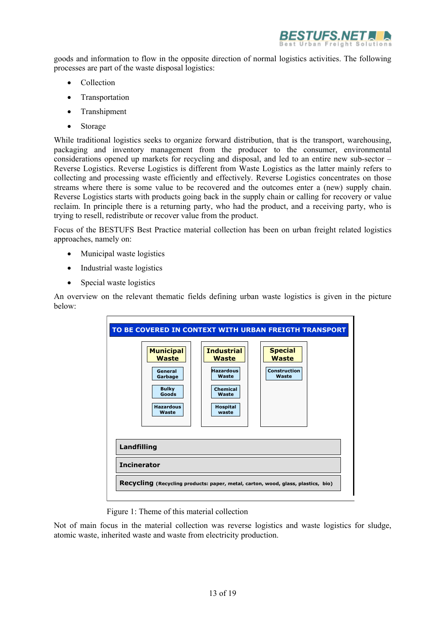

goods and information to flow in the opposite direction of normal logistics activities. The following processes are part of the waste disposal logistics:

- Collection
- Transportation
- Transhipment
- Storage

While traditional logistics seeks to organize forward distribution, that is the transport, warehousing, packaging and inventory management from the producer to the consumer, environmental considerations opened up markets for recycling and disposal, and led to an entire new sub-sector – Reverse Logistics. Reverse Logistics is different from Waste Logistics as the latter mainly refers to collecting and processing waste efficiently and effectively. Reverse Logistics concentrates on those streams where there is some value to be recovered and the outcomes enter a (new) supply chain. Reverse Logistics starts with products going back in the supply chain or calling for recovery or value reclaim. In principle there is a returning party, who had the product, and a receiving party, who is trying to resell, redistribute or recover value from the product.

Focus of the BESTUFS Best Practice material collection has been on urban freight related logistics approaches, namely on:

- Municipal waste logistics
- Industrial waste logistics
- Special waste logistics

An overview on the relevant thematic fields defining urban waste logistics is given in the picture below:



Figure 1: Theme of this material collection

Not of main focus in the material collection was reverse logistics and waste logistics for sludge, atomic waste, inherited waste and waste from electricity production.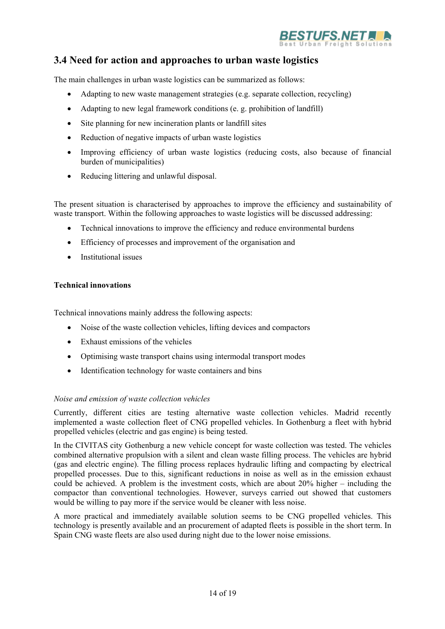

# **3.4 Need for action and approaches to urban waste logistics**

The main challenges in urban waste logistics can be summarized as follows:

- Adapting to new waste management strategies (e.g. separate collection, recycling)
- Adapting to new legal framework conditions (e. g. prohibition of landfill)
- Site planning for new incineration plants or landfill sites
- Reduction of negative impacts of urban waste logistics
- Improving efficiency of urban waste logistics (reducing costs, also because of financial burden of municipalities)
- Reducing littering and unlawful disposal.

The present situation is characterised by approaches to improve the efficiency and sustainability of waste transport. Within the following approaches to waste logistics will be discussed addressing:

- Technical innovations to improve the efficiency and reduce environmental burdens
- Efficiency of processes and improvement of the organisation and
- Institutional issues

### **Technical innovations**

Technical innovations mainly address the following aspects:

- Noise of the waste collection vehicles, lifting devices and compactors
- Exhaust emissions of the vehicles
- Optimising waste transport chains using intermodal transport modes
- Identification technology for waste containers and bins

### *Noise and emission of waste collection vehicles*

Currently, different cities are testing alternative waste collection vehicles. Madrid recently implemented a waste collection fleet of CNG propelled vehicles. In Gothenburg a fleet with hybrid propelled vehicles (electric and gas engine) is being tested.

In the CIVITAS city Gothenburg a new vehicle concept for waste collection was tested. The vehicles combined alternative propulsion with a silent and clean waste filling process. The vehicles are hybrid (gas and electric engine). The filling process replaces hydraulic lifting and compacting by electrical propelled processes. Due to this, significant reductions in noise as well as in the emission exhaust could be achieved. A problem is the investment costs, which are about 20% higher – including the compactor than conventional technologies. However, surveys carried out showed that customers would be willing to pay more if the service would be cleaner with less noise.

A more practical and immediately available solution seems to be CNG propelled vehicles. This technology is presently available and an procurement of adapted fleets is possible in the short term. In Spain CNG waste fleets are also used during night due to the lower noise emissions.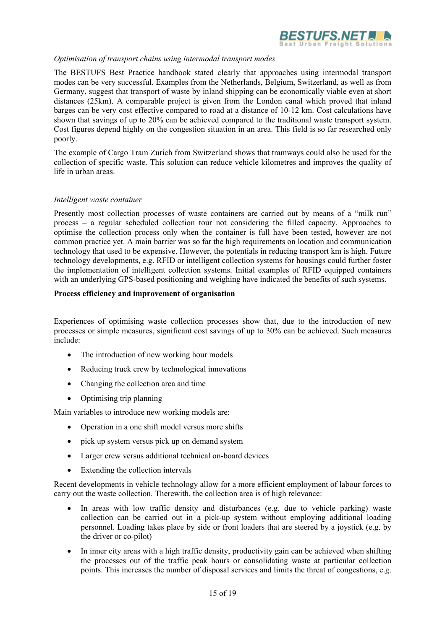

#### *Optimisation of transport chains using intermodal transport modes*

The BESTUFS Best Practice handbook stated clearly that approaches using intermodal transport modes can be very successful. Examples from the Netherlands, Belgium, Switzerland, as well as from Germany, suggest that transport of waste by inland shipping can be economically viable even at short distances (25km). A comparable project is given from the London canal which proved that inland barges can be very cost effective compared to road at a distance of 10-12 km. Cost calculations have shown that savings of up to 20% can be achieved compared to the traditional waste transport system. Cost figures depend highly on the congestion situation in an area. This field is so far researched only poorly.

The example of Cargo Tram Zurich from Switzerland shows that tramways could also be used for the collection of specific waste. This solution can reduce vehicle kilometres and improves the quality of life in urban areas.

#### *Intelligent waste container*

Presently most collection processes of waste containers are carried out by means of a "milk run" process – a regular scheduled collection tour not considering the filled capacity. Approaches to optimise the collection process only when the container is full have been tested, however are not common practice yet. A main barrier was so far the high requirements on location and communication technology that used to be expensive. However, the potentials in reducing transport km is high. Future technology developments, e.g. RFID or intelligent collection systems for housings could further foster the implementation of intelligent collection systems. Initial examples of RFID equipped containers with an underlying GPS-based positioning and weighing have indicated the benefits of such systems.

#### **Process efficiency and improvement of organisation**

Experiences of optimising waste collection processes show that, due to the introduction of new processes or simple measures, significant cost savings of up to 30% can be achieved. Such measures include:

- The introduction of new working hour models
- Reducing truck crew by technological innovations
- Changing the collection area and time
- Optimising trip planning

Main variables to introduce new working models are:

- Operation in a one shift model versus more shifts
- pick up system versus pick up on demand system
- Larger crew versus additional technical on-board devices
- Extending the collection intervals

Recent developments in vehicle technology allow for a more efficient employment of labour forces to carry out the waste collection. Therewith, the collection area is of high relevance:

- In areas with low traffic density and disturbances (e.g. due to vehicle parking) waste collection can be carried out in a pick-up system without employing additional loading personnel. Loading takes place by side or front loaders that are steered by a joystick (e.g. by the driver or co-pilot)
- In inner city areas with a high traffic density, productivity gain can be achieved when shifting the processes out of the traffic peak hours or consolidating waste at particular collection points. This increases the number of disposal services and limits the threat of congestions, e.g.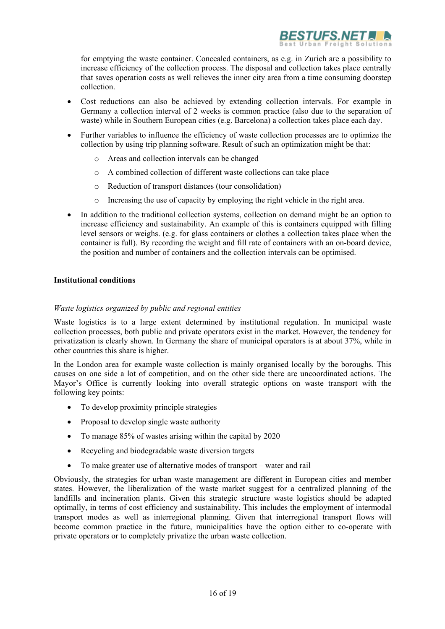

for emptying the waste container. Concealed containers, as e.g. in Zurich are a possibility to increase efficiency of the collection process. The disposal and collection takes place centrally that saves operation costs as well relieves the inner city area from a time consuming doorstep collection.

- Cost reductions can also be achieved by extending collection intervals. For example in Germany a collection interval of 2 weeks is common practice (also due to the separation of waste) while in Southern European cities (e.g. Barcelona) a collection takes place each day.
- Further variables to influence the efficiency of waste collection processes are to optimize the collection by using trip planning software. Result of such an optimization might be that:
	- o Areas and collection intervals can be changed
	- o A combined collection of different waste collections can take place
	- o Reduction of transport distances (tour consolidation)
	- o Increasing the use of capacity by employing the right vehicle in the right area.
- In addition to the traditional collection systems, collection on demand might be an option to increase efficiency and sustainability. An example of this is containers equipped with filling level sensors or weighs. (e.g. for glass containers or clothes a collection takes place when the container is full). By recording the weight and fill rate of containers with an on-board device, the position and number of containers and the collection intervals can be optimised.

### **Institutional conditions**

### *Waste logistics organized by public and regional entities*

Waste logistics is to a large extent determined by institutional regulation. In municipal waste collection processes, both public and private operators exist in the market. However, the tendency for privatization is clearly shown. In Germany the share of municipal operators is at about 37%, while in other countries this share is higher.

In the London area for example waste collection is mainly organised locally by the boroughs. This causes on one side a lot of competition, and on the other side there are uncoordinated actions. The Mayor's Office is currently looking into overall strategic options on waste transport with the following key points:

- To develop proximity principle strategies
- Proposal to develop single waste authority
- To manage 85% of wastes arising within the capital by 2020
- Recycling and biodegradable waste diversion targets
- To make greater use of alternative modes of transport water and rail

Obviously, the strategies for urban waste management are different in European cities and member states. However, the liberalization of the waste market suggest for a centralized planning of the landfills and incineration plants. Given this strategic structure waste logistics should be adapted optimally, in terms of cost efficiency and sustainability. This includes the employment of intermodal transport modes as well as interregional planning. Given that interregional transport flows will become common practice in the future, municipalities have the option either to co-operate with private operators or to completely privatize the urban waste collection.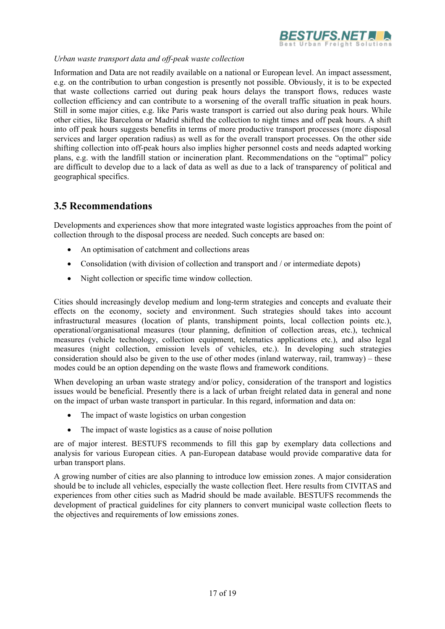

### *Urban waste transport data and off-peak waste collection*

Information and Data are not readily available on a national or European level. An impact assessment, e.g. on the contribution to urban congestion is presently not possible. Obviously, it is to be expected that waste collections carried out during peak hours delays the transport flows, reduces waste collection efficiency and can contribute to a worsening of the overall traffic situation in peak hours. Still in some major cities, e.g. like Paris waste transport is carried out also during peak hours. While other cities, like Barcelona or Madrid shifted the collection to night times and off peak hours. A shift into off peak hours suggests benefits in terms of more productive transport processes (more disposal services and larger operation radius) as well as for the overall transport processes. On the other side shifting collection into off-peak hours also implies higher personnel costs and needs adapted working plans, e.g. with the landfill station or incineration plant. Recommendations on the "optimal" policy are difficult to develop due to a lack of data as well as due to a lack of transparency of political and geographical specifics.

## **3.5 Recommendations**

Developments and experiences show that more integrated waste logistics approaches from the point of collection through to the disposal process are needed. Such concepts are based on:

- An optimisation of catchment and collections areas
- Consolidation (with division of collection and transport and / or intermediate depots)
- Night collection or specific time window collection.

Cities should increasingly develop medium and long-term strategies and concepts and evaluate their effects on the economy, society and environment. Such strategies should takes into account infrastructural measures (location of plants, transhipment points, local collection points etc.), operational/organisational measures (tour planning, definition of collection areas, etc.), technical measures (vehicle technology, collection equipment, telematics applications etc.), and also legal measures (night collection, emission levels of vehicles, etc.). In developing such strategies consideration should also be given to the use of other modes (inland waterway, rail, tramway) – these modes could be an option depending on the waste flows and framework conditions.

When developing an urban waste strategy and/or policy, consideration of the transport and logistics issues would be beneficial. Presently there is a lack of urban freight related data in general and none on the impact of urban waste transport in particular. In this regard, information and data on:

- The impact of waste logistics on urban congestion
- The impact of waste logistics as a cause of noise pollution

are of major interest. BESTUFS recommends to fill this gap by exemplary data collections and analysis for various European cities. A pan-European database would provide comparative data for urban transport plans.

A growing number of cities are also planning to introduce low emission zones. A major consideration should be to include all vehicles, especially the waste collection fleet. Here results from CIVITAS and experiences from other cities such as Madrid should be made available. BESTUFS recommends the development of practical guidelines for city planners to convert municipal waste collection fleets to the objectives and requirements of low emissions zones.